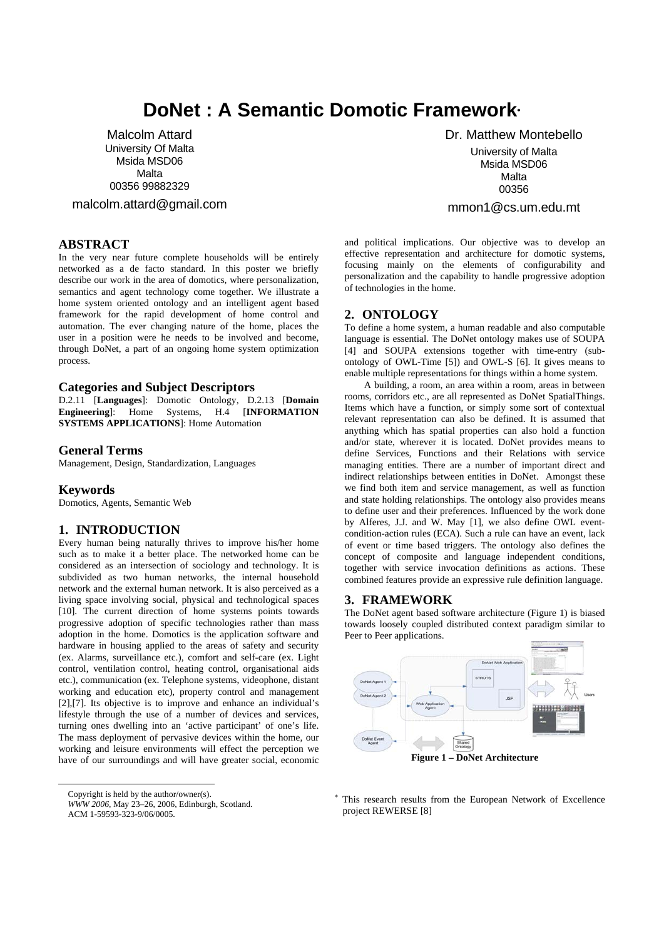# **DoNet : A Semantic Domotic Framework**<sup>∗</sup>

Malcolm Attard University Of Malta Msida MSD06 Malta 00356 99882329

malcolm.attard@gmail.com

# **ABSTRACT**

In the very near future complete households will be entirely networked as a de facto standard. In this poster we briefly describe our work in the area of domotics, where personalization, semantics and agent technology come together. We illustrate a home system oriented ontology and an intelligent agent based framework for the rapid development of home control and automation. The ever changing nature of the home, places the user in a position were he needs to be involved and become, through DoNet, a part of an ongoing home system optimization process.

#### **Categories and Subject Descriptors**

D.2.11 [**Languages**]: Domotic Ontology, D.2.13 [**Domain Engineering**]: Home Systems, H.4 [**INFORMATION SYSTEMS APPLICATIONS**]: Home Automation

### **General Terms**

Management, Design, Standardization, Languages

#### **Keywords**

Domotics, Agents, Semantic Web

# **1. INTRODUCTION**

Every human being naturally thrives to improve his/her home such as to make it a better place. The networked home can be considered as an intersection of sociology and technology. It is subdivided as two human networks, the internal household network and the external human network. It is also perceived as a living space involving social, physical and technological spaces [10]. The current direction of home systems points towards progressive adoption of specific technologies rather than mass adoption in the home. Domotics is the application software and hardware in housing applied to the areas of safety and security (ex. Alarms, surveillance etc.), comfort and self-care (ex. Light control, ventilation control, heating control, organisational aids etc.), communication (ex. Telephone systems, videophone, distant working and education etc), property control and management [2],[7]. Its objective is to improve and enhance an individual's lifestyle through the use of a number of devices and services, turning ones dwelling into an 'active participant' of one's life. The mass deployment of pervasive devices within the home, our working and leisure environments will effect the perception we have of our surroundings and will have greater social, economic

Copyright is held by the author/owner(s).

*WWW 2006,* May 23–26, 2006, Edinburgh, Scotland.

ACM 1-59593-323-9/06/0005.

<u>.</u>

 Dr. Matthew Montebello University of Malta Msida MSD06 Malta 00356 mmon1@cs.um.edu.mt

and political implications. Our objective was to develop an effective representation and architecture for domotic systems, focusing mainly on the elements of configurability and personalization and the capability to handle progressive adoption of technologies in the home.

#### **2. ONTOLOGY**

To define a home system, a human readable and also computable language is essential. The DoNet ontology makes use of SOUPA [4] and SOUPA extensions together with time-entry (subontology of OWL-Time [5]) and OWL-S [6]. It gives means to enable multiple representations for things within a home system.

A building, a room, an area within a room, areas in between rooms, corridors etc., are all represented as DoNet SpatialThings. Items which have a function, or simply some sort of contextual relevant representation can also be defined. It is assumed that anything which has spatial properties can also hold a function and/or state, wherever it is located. DoNet provides means to define Services, Functions and their Relations with service managing entities. There are a number of important direct and indirect relationships between entities in DoNet. Amongst these we find both item and service management, as well as function and state holding relationships. The ontology also provides means to define user and their preferences. Influenced by the work done by Alferes, J.J. and W. May [1], we also define OWL eventcondition-action rules (ECA). Such a rule can have an event, lack of event or time based triggers. The ontology also defines the concept of composite and language independent conditions, together with service invocation definitions as actions. These combined features provide an expressive rule definition language.

#### **3. FRAMEWORK**

The DoNet agent based software architecture (Figure 1) is biased towards loosely coupled distributed context paradigm similar to Peer to Peer applications.



∗ This research results from the European Network of Excellence project REWERSE [8]